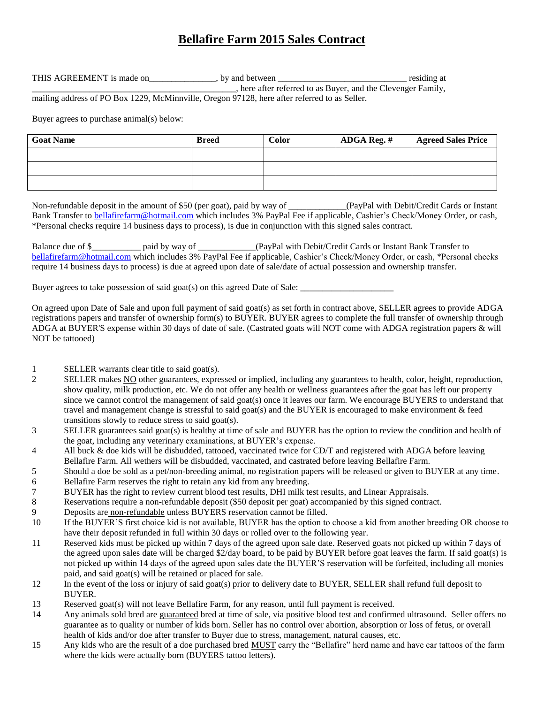## **Bellafire Farm 2015 Sales Contract**

THIS AGREEMENT is made on \_\_\_\_\_\_\_\_\_\_, by and between \_\_\_\_\_\_\_\_\_\_\_\_\_\_\_\_\_\_\_\_\_\_\_\_\_\_\_ residing at \_\_\_\_\_\_\_\_\_\_\_\_\_\_\_\_\_\_\_\_\_\_\_\_\_\_\_\_\_\_\_\_\_\_\_\_\_\_\_\_\_\_\_\_\_\_, here after referred to as Buyer, and the Clevenger Family, mailing address of PO Box 1229, McMinnville, Oregon 97128, here after referred to as Seller.

Buyer agrees to purchase animal(s) below:

| <b>Goat Name</b> | <b>Breed</b> | <b>Color</b> | ADGA Reg. # | <b>Agreed Sales Price</b> |
|------------------|--------------|--------------|-------------|---------------------------|
|                  |              |              |             |                           |
|                  |              |              |             |                           |
|                  |              |              |             |                           |

Non-refundable deposit in the amount of \$50 (per goat), paid by way of \_\_\_\_\_\_\_\_\_\_\_\_\_(PayPal with Debit/Credit Cards or Instant Bank Transfer to [bellafirefarm@hotmail.com](mailto:bellafirefarm@hotmail.com) which includes 3% PayPal Fee if applicable, Cashier's Check/Money Order, or cash, \*Personal checks require 14 business days to process), is due in conjunction with this signed sales contract.

Balance due of \$\_\_\_\_\_\_\_\_\_\_\_ paid by way of \_\_\_\_\_\_\_\_\_\_\_\_\_(PayPal with Debit/Credit Cards or Instant Bank Transfer to [bellafirefarm@hotmail.com](mailto:bellafirefarm@hotmail.com) which includes 3% PayPal Fee if applicable, Cashier's Check/Money Order, or cash, \*Personal checks require 14 business days to process) is due at agreed upon date of sale/date of actual possession and ownership transfer.

Buyer agrees to take possession of said goat(s) on this agreed Date of Sale:

On agreed upon Date of Sale and upon full payment of said goat(s) as set forth in contract above, SELLER agrees to provide ADGA registrations papers and transfer of ownership form(s) to BUYER. BUYER agrees to complete the full transfer of ownership through ADGA at BUYER'S expense within 30 days of date of sale. (Castrated goats will NOT come with ADGA registration papers & will NOT be tattooed)

- 1 SELLER warrants clear title to said goat(s).
- 2 SELLER makes NO other guarantees, expressed or implied, including any guarantees to health, color, height, reproduction, show quality, milk production, etc. We do not offer any health or wellness guarantees after the goat has left our property since we cannot control the management of said goat(s) once it leaves our farm. We encourage BUYERS to understand that travel and management change is stressful to said goat(s) and the BUYER is encouraged to make environment  $\&$  feed transitions slowly to reduce stress to said goat(s).
- 3 SELLER guarantees said goat(s) is healthy at time of sale and BUYER has the option to review the condition and health of the goat, including any veterinary examinations, at BUYER's expense.
- 4 All buck & doe kids will be disbudded, tattooed, vaccinated twice for CD/T and registered with ADGA before leaving Bellafire Farm. All wethers will be disbudded, vaccinated, and castrated before leaving Bellafire Farm.
- 5 Should a doe be sold as a pet/non-breeding animal, no registration papers will be released or given to BUYER at any time.
- 6 Bellafire Farm reserves the right to retain any kid from any breeding.
- 7 BUYER has the right to review current blood test results, DHI milk test results, and Linear Appraisals.
- 8 Reservations require a non-refundable deposit (\$50 deposit per goat) accompanied by this signed contract.
- 9 Deposits are non-refundable unless BUYERS reservation cannot be filled.
- 10 If the BUYER'S first choice kid is not available, BUYER has the option to choose a kid from another breeding OR choose to have their deposit refunded in full within 30 days or rolled over to the following year.
- 11 Reserved kids must be picked up within 7 days of the agreed upon sale date. Reserved goats not picked up within 7 days of the agreed upon sales date will be charged \$2/day board, to be paid by BUYER before goat leaves the farm. If said goat(s) is not picked up within 14 days of the agreed upon sales date the BUYER'S reservation will be forfeited, including all monies paid, and said goat(s) will be retained or placed for sale.
- 12 In the event of the loss or injury of said goat(s) prior to delivery date to BUYER, SELLER shall refund full deposit to BUYER.
- 13 Reserved goat(s) will not leave Bellafire Farm, for any reason, until full payment is received.
- 14 Any animals sold bred are guaranteed bred at time of sale, via positive blood test and confirmed ultrasound. Seller offers no guarantee as to quality or number of kids born. Seller has no control over abortion, absorption or loss of fetus, or overall health of kids and/or doe after transfer to Buyer due to stress, management, natural causes, etc.
- 15 Any kids who are the result of a doe purchased bred MUST carry the "Bellafire" herd name and have ear tattoos of the farm where the kids were actually born (BUYERS tattoo letters).